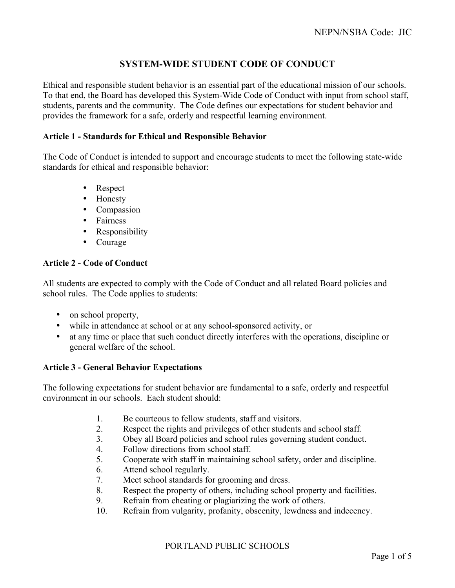# **SYSTEM-WIDE STUDENT CODE OF CONDUCT**

Ethical and responsible student behavior is an essential part of the educational mission of our schools. To that end, the Board has developed this System-Wide Code of Conduct with input from school staff, students, parents and the community. The Code defines our expectations for student behavior and provides the framework for a safe, orderly and respectful learning environment.

### **Article 1 - Standards for Ethical and Responsible Behavior**

The Code of Conduct is intended to support and encourage students to meet the following state-wide standards for ethical and responsible behavior:

- Respect
- Honesty
- Compassion
- Fairness
- Responsibility
- Courage

# **Article 2 - Code of Conduct**

All students are expected to comply with the Code of Conduct and all related Board policies and school rules. The Code applies to students:

- on school property,
- while in attendance at school or at any school-sponsored activity, or
- at any time or place that such conduct directly interferes with the operations, discipline or general welfare of the school.

# **Article 3 - General Behavior Expectations**

The following expectations for student behavior are fundamental to a safe, orderly and respectful environment in our schools. Each student should:

- 1. Be courteous to fellow students, staff and visitors.
- 2. Respect the rights and privileges of other students and school staff.
- 3. Obey all Board policies and school rules governing student conduct.
- 4. Follow directions from school staff.
- 5. Cooperate with staff in maintaining school safety, order and discipline.
- 6. Attend school regularly.
- 7. Meet school standards for grooming and dress.
- 8. Respect the property of others, including school property and facilities.
- 9. Refrain from cheating or plagiarizing the work of others.
- 10. Refrain from vulgarity, profanity, obscenity, lewdness and indecency.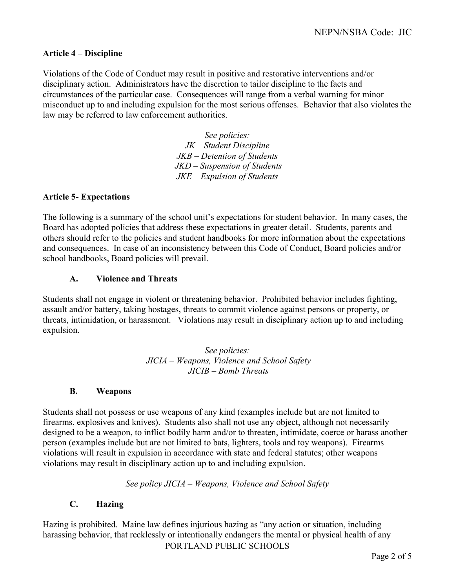### **Article 4 – Discipline**

Violations of the Code of Conduct may result in positive and restorative interventions and/or disciplinary action. Administrators have the discretion to tailor discipline to the facts and circumstances of the particular case. Consequences will range from a verbal warning for minor misconduct up to and including expulsion for the most serious offenses. Behavior that also violates the law may be referred to law enforcement authorities.

> *See policies: JK – Student Discipline JKB – Detention of Students JKD – Suspension of Students JKE – Expulsion of Students*

#### **Article 5- Expectations**

The following is a summary of the school unit's expectations for student behavior. In many cases, the Board has adopted policies that address these expectations in greater detail. Students, parents and others should refer to the policies and student handbooks for more information about the expectations and consequences. In case of an inconsistency between this Code of Conduct, Board policies and/or school handbooks, Board policies will prevail.

#### **A. Violence and Threats**

Students shall not engage in violent or threatening behavior. Prohibited behavior includes fighting, assault and/or battery, taking hostages, threats to commit violence against persons or property, or threats, intimidation, or harassment. Violations may result in disciplinary action up to and including expulsion.

> *See policies: JICIA – Weapons, Violence and School Safety JICIB – Bomb Threats*

#### **B. Weapons**

Students shall not possess or use weapons of any kind (examples include but are not limited to firearms, explosives and knives). Students also shall not use any object, although not necessarily designed to be a weapon, to inflict bodily harm and/or to threaten, intimidate, coerce or harass another person (examples include but are not limited to bats, lighters, tools and toy weapons). Firearms violations will result in expulsion in accordance with state and federal statutes; other weapons violations may result in disciplinary action up to and including expulsion.

*See policy JICIA – Weapons, Violence and School Safety*

# **C. Hazing**

PORTLAND PUBLIC SCHOOLS Hazing is prohibited. Maine law defines injurious hazing as "any action or situation, including harassing behavior, that recklessly or intentionally endangers the mental or physical health of any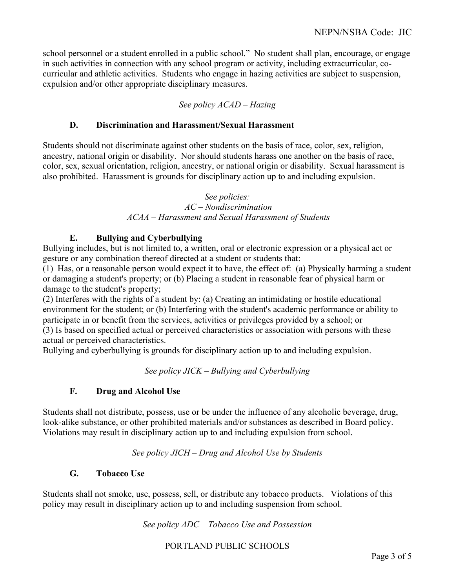school personnel or a student enrolled in a public school." No student shall plan, encourage, or engage in such activities in connection with any school program or activity, including extracurricular, cocurricular and athletic activities. Students who engage in hazing activities are subject to suspension, expulsion and/or other appropriate disciplinary measures.

# *See policy ACAD – Hazing*

# **D. Discrimination and Harassment/Sexual Harassment**

Students should not discriminate against other students on the basis of race, color, sex, religion, ancestry, national origin or disability. Nor should students harass one another on the basis of race, color, sex, sexual orientation, religion, ancestry, or national origin or disability. Sexual harassment is also prohibited. Harassment is grounds for disciplinary action up to and including expulsion.

# *See policies:*

#### *AC – Nondiscrimination ACAA – Harassment and Sexual Harassment of Students*

# **E. Bullying and Cyberbullying**

Bullying includes, but is not limited to, a written, oral or electronic expression or a physical act or gesture or any combination thereof directed at a student or students that:

(1) Has, or a reasonable person would expect it to have, the effect of: (a) Physically harming a student or damaging a student's property; or (b) Placing a student in reasonable fear of physical harm or damage to the student's property;

(2) Interferes with the rights of a student by: (a) Creating an intimidating or hostile educational environment for the student; or (b) Interfering with the student's academic performance or ability to participate in or benefit from the services, activities or privileges provided by a school; or (3) Is based on specified actual or perceived characteristics or association with persons with these actual or perceived characteristics.

Bullying and cyberbullying is grounds for disciplinary action up to and including expulsion.

# *See policy JICK – Bullying and Cyberbullying*

# **F. Drug and Alcohol Use**

Students shall not distribute, possess, use or be under the influence of any alcoholic beverage, drug, look-alike substance, or other prohibited materials and/or substances as described in Board policy. Violations may result in disciplinary action up to and including expulsion from school.

*See policy JICH – Drug and Alcohol Use by Students*

# **G. Tobacco Use**

Students shall not smoke, use, possess, sell, or distribute any tobacco products. Violations of this policy may result in disciplinary action up to and including suspension from school.

*See policy ADC – Tobacco Use and Possession*

PORTLAND PUBLIC SCHOOLS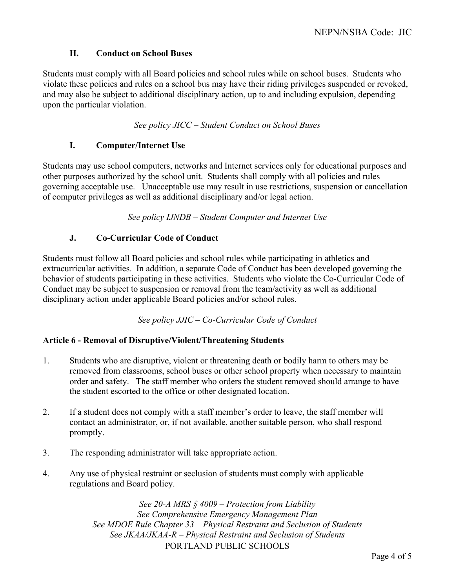# **H. Conduct on School Buses**

Students must comply with all Board policies and school rules while on school buses. Students who violate these policies and rules on a school bus may have their riding privileges suspended or revoked, and may also be subject to additional disciplinary action, up to and including expulsion, depending upon the particular violation.

*See policy JICC – Student Conduct on School Buses*

# **I. Computer/Internet Use**

Students may use school computers, networks and Internet services only for educational purposes and other purposes authorized by the school unit. Students shall comply with all policies and rules governing acceptable use. Unacceptable use may result in use restrictions, suspension or cancellation of computer privileges as well as additional disciplinary and/or legal action.

*See policy IJNDB – Student Computer and Internet Use*

# **J. Co-Curricular Code of Conduct**

Students must follow all Board policies and school rules while participating in athletics and extracurricular activities. In addition, a separate Code of Conduct has been developed governing the behavior of students participating in these activities. Students who violate the Co-Curricular Code of Conduct may be subject to suspension or removal from the team/activity as well as additional disciplinary action under applicable Board policies and/or school rules.

*See policy JJIC – Co-Curricular Code of Conduct*

# **Article 6 - Removal of Disruptive/Violent/Threatening Students**

- 1. Students who are disruptive, violent or threatening death or bodily harm to others may be removed from classrooms, school buses or other school property when necessary to maintain order and safety. The staff member who orders the student removed should arrange to have the student escorted to the office or other designated location.
- 2. If a student does not comply with a staff member's order to leave, the staff member will contact an administrator, or, if not available, another suitable person, who shall respond promptly.
- 3. The responding administrator will take appropriate action.
- 4. Any use of physical restraint or seclusion of students must comply with applicable regulations and Board policy.

PORTLAND PUBLIC SCHOOLS *See 20-A MRS § 4009 – Protection from Liability See Comprehensive Emergency Management Plan See MDOE Rule Chapter 33 – Physical Restraint and Seclusion of Students See JKAA/JKAA-R – Physical Restraint and Seclusion of Students*